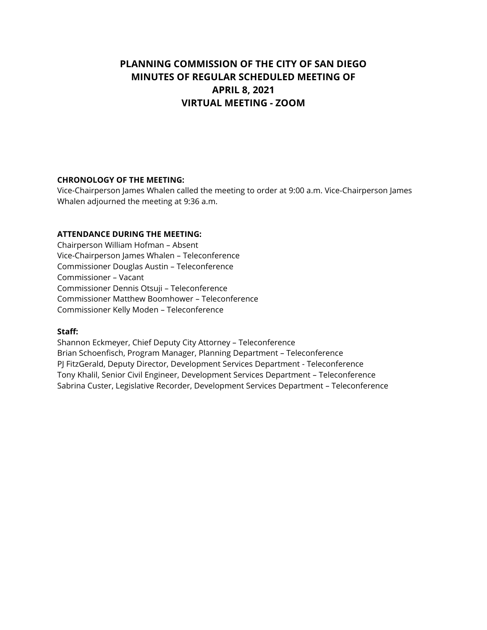# **PLANNING COMMISSION OF THE CITY OF SAN DIEGO MINUTES OF REGULAR SCHEDULED MEETING OF APRIL 8, 2021 VIRTUAL MEETING - ZOOM**

## **CHRONOLOGY OF THE MEETING:**

Vice-Chairperson James Whalen called the meeting to order at 9:00 a.m. Vice-Chairperson James Whalen adjourned the meeting at 9:36 a.m.

## **ATTENDANCE DURING THE MEETING:**

Chairperson William Hofman – Absent Vice-Chairperson James Whalen – Teleconference Commissioner Douglas Austin – Teleconference Commissioner – Vacant Commissioner Dennis Otsuji – Teleconference Commissioner Matthew Boomhower – Teleconference Commissioner Kelly Moden – Teleconference

#### **Staff:**

Shannon Eckmeyer, Chief Deputy City Attorney – Teleconference Brian Schoenfisch, Program Manager, Planning Department – Teleconference PJ FitzGerald, Deputy Director, Development Services Department - Teleconference Tony Khalil, Senior Civil Engineer, Development Services Department – Teleconference Sabrina Custer, Legislative Recorder, Development Services Department – Teleconference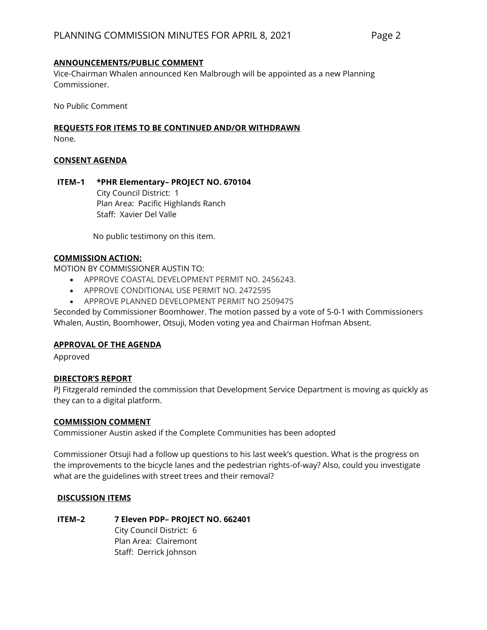## **ANNOUNCEMENTS/PUBLIC COMMENT**

Vice-Chairman Whalen announced Ken Malbrough will be appointed as a new Planning Commissioner.

No Public Comment

#### **REQUESTS FOR ITEMS TO BE CONTINUED AND/OR WITHDRAWN** None.

#### **CONSENT AGENDA**

**ITEM–1 \*PHR Elementary– PROJECT NO. 670104** City Council District: 1 Plan Area: Pacific Highlands Ranch Staff: Xavier Del Valle

No public testimony on this item.

## **COMMISSION ACTION:**

MOTION BY COMMISSIONER AUSTIN TO:

- APPROVE COASTAL DEVELOPMENT PERMIT NO. 2456243.
- APPROVE CONDITIONAL USE PERMIT NO. 2472595
- APPROVE PLANNED DEVELOPMENT PERMIT NO 2509475

Seconded by Commissioner Boomhower. The motion passed by a vote of 5-0-1 with Commissioners Whalen, Austin, Boomhower, Otsuji, Moden voting yea and Chairman Hofman Absent.

#### **APPROVAL OF THE AGENDA**

Approved

## **DIRECTOR'S REPORT**

PJ Fitzgerald reminded the commission that Development Service Department is moving as quickly as they can to a digital platform.

#### **COMMISSION COMMENT**

Commissioner Austin asked if the Complete Communities has been adopted

Commissioner Otsuji had a follow up questions to his last week's question. What is the progress on the improvements to the bicycle lanes and the pedestrian rights-of-way? Also, could you investigate what are the guidelines with street trees and their removal?

#### **DISCUSSION ITEMS**

## **ITEM–2 7 Eleven PDP– PROJECT NO. 662401** City Council District: 6 Plan Area: Clairemont Staff: Derrick Johnson